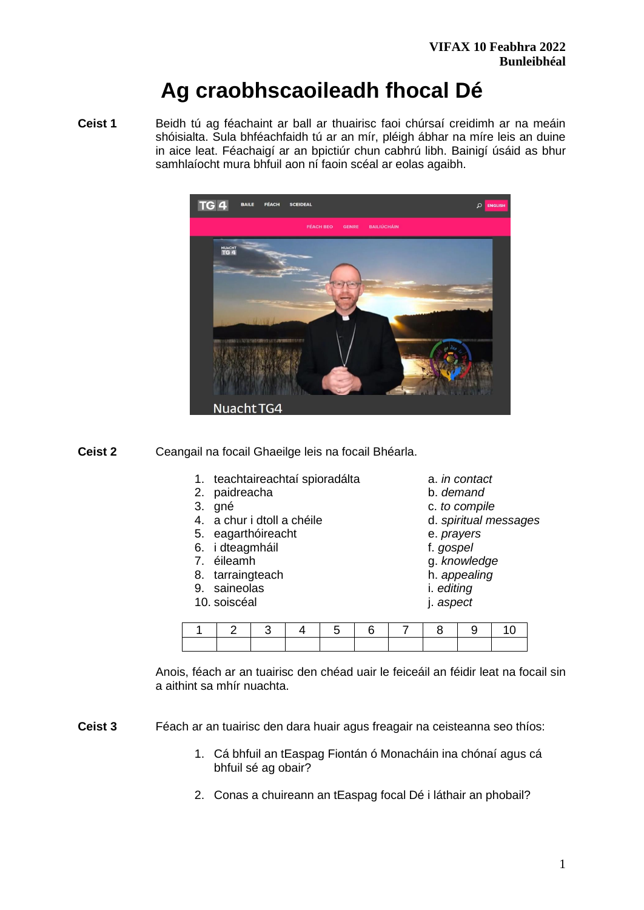# **Ag craobhscaoileadh fhocal Dé**

**Ceist 1** Beidh tú ag féachaint ar ball ar thuairisc faoi chúrsaí creidimh ar na meáin shóisialta. Sula bhféachfaidh tú ar an mír, pléigh ábhar na míre leis an duine in aice leat. Féachaigí ar an bpictiúr chun cabhrú libh. Bainigí úsáid as bhur samhlaíocht mura bhfuil aon ní faoin scéal ar eolas agaibh.



**Ceist 2** Ceangail na focail Ghaeilge leis na focail Bhéarla.

- 1. teachtaireachtaí spioradálta a. *in contact*
- 2. paidreacha b. *demand*
- 
- 4. a chur i dtoll a chéile d. *spiritual messages*
- 5. eagarthóireacht e. *prayers*
- 6. i dteagmháil f. *gospel*
- 
- 8. tarraingteach **h.** *appealing*
- 9. saineolas i. *editing*
- 10. soiscéal j. *aspect*
- 
- 
- 3. gné c. *to compile*
	-
	-
	-
- 7. éileamh g. *knowledge* 
	-
	-
	-

|  |  |  |  | 2   3   4   5   6   7   8   9   10 |  |
|--|--|--|--|------------------------------------|--|
|  |  |  |  |                                    |  |

Anois, féach ar an tuairisc den chéad uair le feiceáil an féidir leat na focail sin a aithint sa mhír nuachta.

**Ceist 3** Féach ar an tuairisc den dara huair agus freagair na ceisteanna seo thíos:

- 1. Cá bhfuil an tEaspag Fiontán ó Monacháin ina chónaí agus cá bhfuil sé ag obair?
- 2. Conas a chuireann an tEaspag focal Dé i láthair an phobail?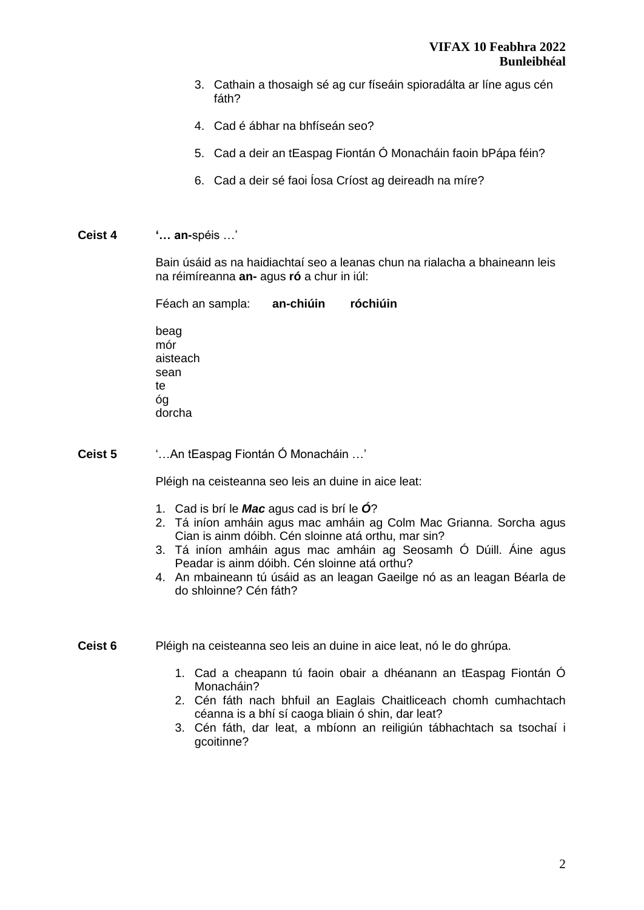- 3. Cathain a thosaigh sé ag cur físeáin spioradálta ar líne agus cén fáth?
- 4. Cad é ábhar na bhfíseán seo?
- 5. Cad a deir an tEaspag Fiontán Ó Monacháin faoin bPápa féin?
- 6. Cad a deir sé faoi Íosa Críost ag deireadh na míre?
- **Ceist 4 '… an-**spéis …'

dorcha

Bain úsáid as na haidiachtaí seo a leanas chun na rialacha a bhaineann leis na réimíreanna **an-** agus **ró** a chur in iúl:

Féach an sampla: **an-chiúin róchiúin** beag mór aisteach sean te óg

**Ceist 5** '…An tEaspag Fiontán Ó Monacháin …'

Pléigh na ceisteanna seo leis an duine in aice leat:

- 1. Cad is brí le *Mac* agus cad is brí le *Ó*?
- 2. Tá iníon amháin agus mac amháin ag Colm Mac Grianna. Sorcha agus Cian is ainm dóibh. Cén sloinne atá orthu, mar sin?
- 3. Tá iníon amháin agus mac amháin ag Seosamh Ó Dúill. Áine agus Peadar is ainm dóibh. Cén sloinne atá orthu?
- 4. An mbaineann tú úsáid as an leagan Gaeilge nó as an leagan Béarla de do shloinne? Cén fáth?
- **Ceist 6** Pléigh na ceisteanna seo leis an duine in aice leat, nó le do ghrúpa.
	- 1. Cad a cheapann tú faoin obair a dhéanann an tEaspag Fiontán Ó Monacháin?
	- 2. Cén fáth nach bhfuil an Eaglais Chaitliceach chomh cumhachtach céanna is a bhí sí caoga bliain ó shin, dar leat?
	- 3. Cén fáth, dar leat, a mbíonn an reiligiún tábhachtach sa tsochaí i gcoitinne?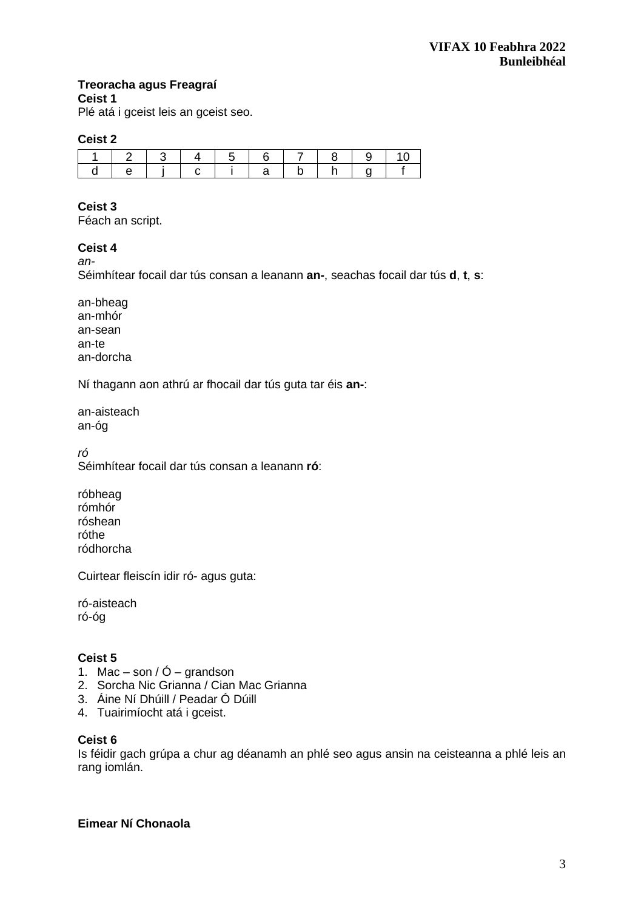# **Treoracha agus Freagraí**

**Ceist 1**

Plé atá i gceist leis an gceist seo.

### **Ceist 2**

|  | 1213141 |  | 16171819                        |  |  |
|--|---------|--|---------------------------------|--|--|
|  |         |  | I e I i I c I i I a I b I b I a |  |  |

# **Ceist 3**

Féach an script.

# **Ceist 4**

*an-*

Séimhítear focail dar tús consan a leanann **an-**, seachas focail dar tús **d**, **t**, **s**:

an-bheag an-mhór an-sean an-te an-dorcha

Ní thagann aon athrú ar fhocail dar tús guta tar éis **an-**:

an-aisteach an-óg

*ró*

Séimhítear focail dar tús consan a leanann **ró**:

róbheag rómhór róshean róthe ródhorcha

Cuirtear fleiscín idir ró- agus guta:

ró-aisteach ró-óg

# **Ceist 5**

- 1. Mac son /  $\acute{O}$  grandson
- 2. Sorcha Nic Grianna / Cian Mac Grianna
- 3. Áine Ní Dhúill / Peadar Ó Dúill
- 4. Tuairimíocht atá i gceist.

#### **Ceist 6**

Is féidir gach grúpa a chur ag déanamh an phlé seo agus ansin na ceisteanna a phlé leis an rang iomlán.

**Eimear Ní Chonaola**